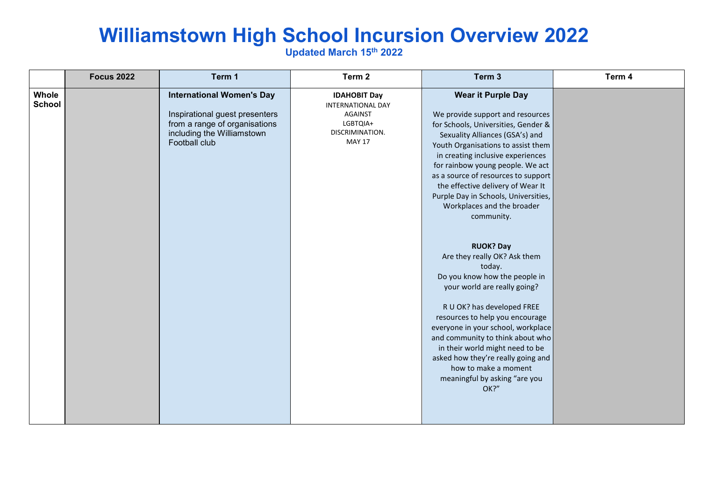## **Williamstown High School Incursion Overview 2022**

**Updated March 15th 2022**

|                        | <b>Focus 2022</b> | Term 1                                                                                                                                             | Term 2                                                                                                     | Term 3                                                                                                                                                                                                                                                                                                                                                                                                                                                                                                                                                                                                                                                                                                                                                                                                                                     | Term 4 |
|------------------------|-------------------|----------------------------------------------------------------------------------------------------------------------------------------------------|------------------------------------------------------------------------------------------------------------|--------------------------------------------------------------------------------------------------------------------------------------------------------------------------------------------------------------------------------------------------------------------------------------------------------------------------------------------------------------------------------------------------------------------------------------------------------------------------------------------------------------------------------------------------------------------------------------------------------------------------------------------------------------------------------------------------------------------------------------------------------------------------------------------------------------------------------------------|--------|
| Whole<br><b>School</b> |                   | <b>International Women's Day</b><br>Inspirational guest presenters<br>from a range of organisations<br>including the Williamstown<br>Football club | <b>IDAHOBIT Day</b><br>INTERNATIONAL DAY<br><b>AGAINST</b><br>LGBTQIA+<br>DISCRIMINATION.<br><b>MAY 17</b> | <b>Wear it Purple Day</b><br>We provide support and resources<br>for Schools, Universities, Gender &<br>Sexuality Alliances (GSA's) and<br>Youth Organisations to assist them<br>in creating inclusive experiences<br>for rainbow young people. We act<br>as a source of resources to support<br>the effective delivery of Wear It<br>Purple Day in Schools, Universities,<br>Workplaces and the broader<br>community.<br><b>RUOK? Day</b><br>Are they really OK? Ask them<br>today.<br>Do you know how the people in<br>your world are really going?<br>R U OK? has developed FREE<br>resources to help you encourage<br>everyone in your school, workplace<br>and community to think about who<br>in their world might need to be<br>asked how they're really going and<br>how to make a moment<br>meaningful by asking "are you<br>OK?" |        |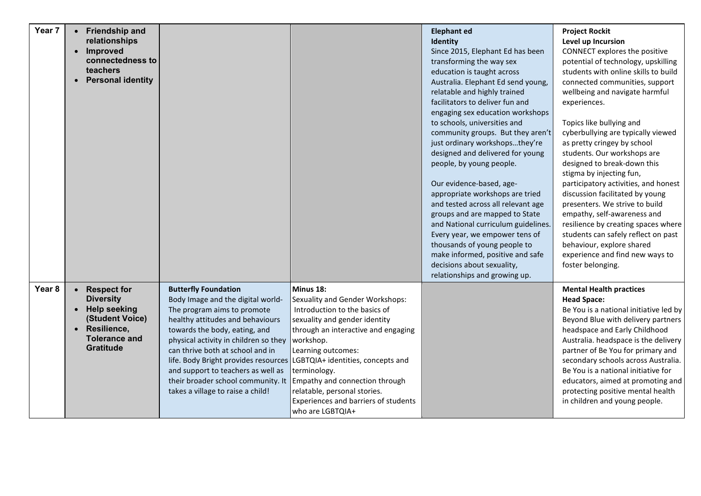| Year 7 | • Friendship and<br>relationships<br>Improved<br>$\bullet$<br>connectedness to<br>teachers<br><b>Personal identity</b><br>$\bullet$                                                |                                                                                                                                                                                                                                                                                                                                                                                                            |                                                                                                                                                                                                                                                                                                                                                                             | <b>Elephant ed</b><br>Identity<br>Since 2015, Elephant Ed has been<br>transforming the way sex<br>education is taught across<br>Australia. Elephant Ed send young,<br>relatable and highly trained<br>facilitators to deliver fun and<br>engaging sex education workshops<br>to schools, universities and<br>community groups. But they aren't<br>just ordinary workshopsthey're<br>designed and delivered for young<br>people, by young people.<br>Our evidence-based, age-<br>appropriate workshops are tried<br>and tested across all relevant age<br>groups and are mapped to State<br>and National curriculum guidelines.<br>Every year, we empower tens of<br>thousands of young people to<br>make informed, positive and safe<br>decisions about sexuality,<br>relationships and growing up. | <b>Project Rockit</b><br>Level up Incursion<br>CONNECT explores the positive<br>potential of technology, upskilling<br>students with online skills to build<br>connected communities, support<br>wellbeing and navigate harmful<br>experiences.<br>Topics like bullying and<br>cyberbullying are typically viewed<br>as pretty cringey by school<br>students. Our workshops are<br>designed to break-down this<br>stigma by injecting fun,<br>participatory activities, and honest<br>discussion facilitated by young<br>presenters. We strive to build<br>empathy, self-awareness and<br>resilience by creating spaces where<br>students can safely reflect on past<br>behaviour, explore shared<br>experience and find new ways to<br>foster belonging. |
|--------|------------------------------------------------------------------------------------------------------------------------------------------------------------------------------------|------------------------------------------------------------------------------------------------------------------------------------------------------------------------------------------------------------------------------------------------------------------------------------------------------------------------------------------------------------------------------------------------------------|-----------------------------------------------------------------------------------------------------------------------------------------------------------------------------------------------------------------------------------------------------------------------------------------------------------------------------------------------------------------------------|-----------------------------------------------------------------------------------------------------------------------------------------------------------------------------------------------------------------------------------------------------------------------------------------------------------------------------------------------------------------------------------------------------------------------------------------------------------------------------------------------------------------------------------------------------------------------------------------------------------------------------------------------------------------------------------------------------------------------------------------------------------------------------------------------------|-----------------------------------------------------------------------------------------------------------------------------------------------------------------------------------------------------------------------------------------------------------------------------------------------------------------------------------------------------------------------------------------------------------------------------------------------------------------------------------------------------------------------------------------------------------------------------------------------------------------------------------------------------------------------------------------------------------------------------------------------------------|
| Year 8 | <b>Respect for</b><br>$\bullet$<br><b>Diversity</b><br><b>Help seeking</b><br>$\bullet$<br>(Student Voice)<br>Resilience,<br>$\bullet$<br><b>Tolerance and</b><br><b>Gratitude</b> | <b>Butterfly Foundation</b><br>Body Image and the digital world-<br>The program aims to promote<br>healthy attitudes and behaviours<br>towards the body, eating, and<br>physical activity in children so they<br>can thrive both at school and in<br>life. Body Bright provides resources<br>and support to teachers as well as<br>their broader school community. It<br>takes a village to raise a child! | Minus 18:<br>Sexuality and Gender Workshops:<br>Introduction to the basics of<br>sexuality and gender identity<br>through an interactive and engaging<br>workshop.<br>Learning outcomes:<br>LGBTQIA+ identities, concepts and<br>terminology.<br>Empathy and connection through<br>relatable, personal stories.<br>Experiences and barriers of students<br>who are LGBTQIA+ |                                                                                                                                                                                                                                                                                                                                                                                                                                                                                                                                                                                                                                                                                                                                                                                                     | <b>Mental Health practices</b><br><b>Head Space:</b><br>Be You is a national initiative led by<br>Beyond Blue with delivery partners<br>headspace and Early Childhood<br>Australia. headspace is the delivery<br>partner of Be You for primary and<br>secondary schools across Australia.<br>Be You is a national initiative for<br>educators, aimed at promoting and<br>protecting positive mental health<br>in children and young people.                                                                                                                                                                                                                                                                                                               |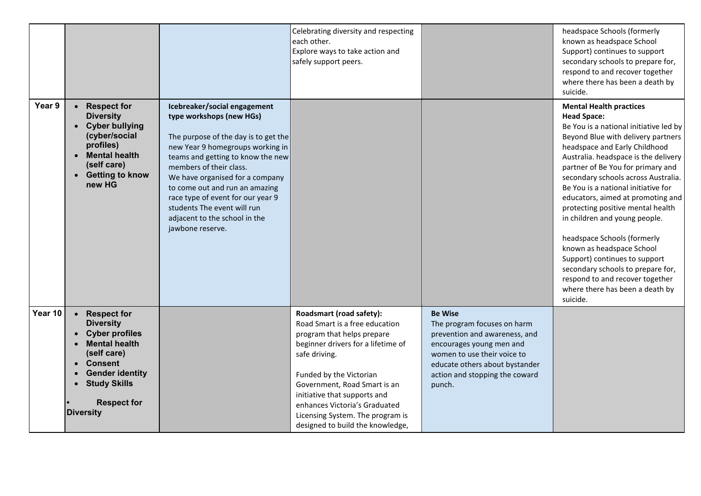|         |                                                                                                                                                                                                                     |                                                                                                                                                                                                                                                                                                                                                                                                    | Celebrating diversity and respecting<br>each other.<br>Explore ways to take action and<br>safely support peers.                                                                                                                                                                                                                                     |                                                                                                                                                                                                                         | headspace Schools (formerly<br>known as headspace School<br>Support) continues to support<br>secondary schools to prepare for,<br>respond to and recover together<br>where there has been a death by<br>suicide.                                                                                                                                                                                                                                                                                                                                                                                                                                                |
|---------|---------------------------------------------------------------------------------------------------------------------------------------------------------------------------------------------------------------------|----------------------------------------------------------------------------------------------------------------------------------------------------------------------------------------------------------------------------------------------------------------------------------------------------------------------------------------------------------------------------------------------------|-----------------------------------------------------------------------------------------------------------------------------------------------------------------------------------------------------------------------------------------------------------------------------------------------------------------------------------------------------|-------------------------------------------------------------------------------------------------------------------------------------------------------------------------------------------------------------------------|-----------------------------------------------------------------------------------------------------------------------------------------------------------------------------------------------------------------------------------------------------------------------------------------------------------------------------------------------------------------------------------------------------------------------------------------------------------------------------------------------------------------------------------------------------------------------------------------------------------------------------------------------------------------|
| Year 9  | <b>Respect for</b><br><b>Diversity</b><br>• Cyber bullying<br>(cyber/social<br>profiles)<br><b>Mental health</b><br>(self care)<br>• Getting to know<br>new HG                                                      | Icebreaker/social engagement<br>type workshops (new HGs)<br>The purpose of the day is to get the<br>new Year 9 homegroups working in<br>teams and getting to know the new<br>members of their class.<br>We have organised for a company<br>to come out and run an amazing<br>race type of event for our year 9<br>students The event will run<br>adjacent to the school in the<br>jawbone reserve. |                                                                                                                                                                                                                                                                                                                                                     |                                                                                                                                                                                                                         | <b>Mental Health practices</b><br><b>Head Space:</b><br>Be You is a national initiative led by<br>Beyond Blue with delivery partners<br>headspace and Early Childhood<br>Australia. headspace is the delivery<br>partner of Be You for primary and<br>secondary schools across Australia.<br>Be You is a national initiative for<br>educators, aimed at promoting and<br>protecting positive mental health<br>in children and young people.<br>headspace Schools (formerly<br>known as headspace School<br>Support) continues to support<br>secondary schools to prepare for,<br>respond to and recover together<br>where there has been a death by<br>suicide. |
| Year 10 | <b>Respect for</b><br><b>Diversity</b><br><b>Cyber profiles</b><br><b>Mental health</b><br>(self care)<br><b>Consent</b><br><b>Gender identity</b><br><b>Study Skills</b><br><b>Respect for</b><br><b>Diversity</b> |                                                                                                                                                                                                                                                                                                                                                                                                    | Roadsmart (road safety):<br>Road Smart is a free education<br>program that helps prepare<br>beginner drivers for a lifetime of<br>safe driving.<br>Funded by the Victorian<br>Government, Road Smart is an<br>initiative that supports and<br>enhances Victoria's Graduated<br>Licensing System. The program is<br>designed to build the knowledge, | <b>Be Wise</b><br>The program focuses on harm<br>prevention and awareness, and<br>encourages young men and<br>women to use their voice to<br>educate others about bystander<br>action and stopping the coward<br>punch. |                                                                                                                                                                                                                                                                                                                                                                                                                                                                                                                                                                                                                                                                 |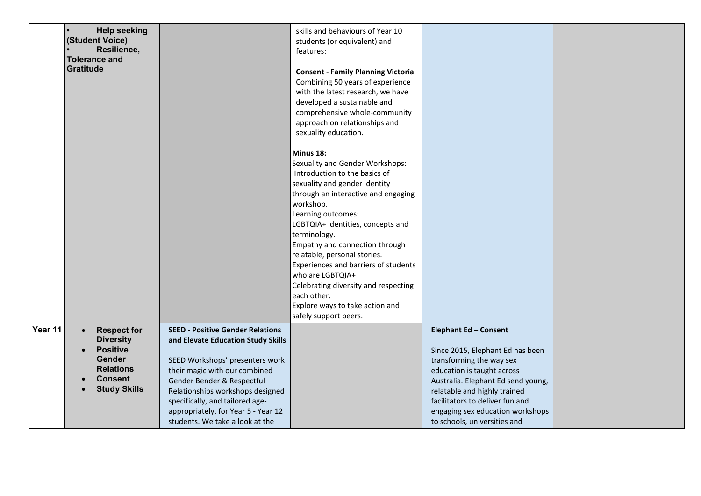|         | <b>Help seeking</b>                 |                                         | skills and behaviours of Year 10          |                                    |  |
|---------|-------------------------------------|-----------------------------------------|-------------------------------------------|------------------------------------|--|
|         | (Student Voice)                     |                                         | students (or equivalent) and              |                                    |  |
|         | Resilience,<br><b>Tolerance and</b> |                                         | features:                                 |                                    |  |
|         | Gratitude                           |                                         |                                           |                                    |  |
|         |                                     |                                         | <b>Consent - Family Planning Victoria</b> |                                    |  |
|         |                                     |                                         | Combining 50 years of experience          |                                    |  |
|         |                                     |                                         | with the latest research, we have         |                                    |  |
|         |                                     |                                         | developed a sustainable and               |                                    |  |
|         |                                     |                                         | comprehensive whole-community             |                                    |  |
|         |                                     |                                         | approach on relationships and             |                                    |  |
|         |                                     |                                         | sexuality education.                      |                                    |  |
|         |                                     |                                         | Minus 18:                                 |                                    |  |
|         |                                     |                                         | Sexuality and Gender Workshops:           |                                    |  |
|         |                                     |                                         | Introduction to the basics of             |                                    |  |
|         |                                     |                                         | sexuality and gender identity             |                                    |  |
|         |                                     |                                         | through an interactive and engaging       |                                    |  |
|         |                                     |                                         | workshop.                                 |                                    |  |
|         |                                     |                                         | Learning outcomes:                        |                                    |  |
|         |                                     |                                         | LGBTQIA+ identities, concepts and         |                                    |  |
|         |                                     |                                         | terminology.                              |                                    |  |
|         |                                     |                                         | Empathy and connection through            |                                    |  |
|         |                                     |                                         | relatable, personal stories.              |                                    |  |
|         |                                     |                                         | Experiences and barriers of students      |                                    |  |
|         |                                     |                                         | who are LGBTQIA+                          |                                    |  |
|         |                                     |                                         | Celebrating diversity and respecting      |                                    |  |
|         |                                     |                                         | each other.                               |                                    |  |
|         |                                     |                                         | Explore ways to take action and           |                                    |  |
|         |                                     |                                         | safely support peers.                     |                                    |  |
| Year 11 | <b>Respect for</b><br>$\bullet$     | <b>SEED - Positive Gender Relations</b> |                                           | <b>Elephant Ed - Consent</b>       |  |
|         | <b>Diversity</b>                    | and Elevate Education Study Skills      |                                           |                                    |  |
|         | <b>Positive</b>                     |                                         |                                           | Since 2015, Elephant Ed has been   |  |
|         | <b>Gender</b>                       | SEED Workshops' presenters work         |                                           | transforming the way sex           |  |
|         | <b>Relations</b>                    | their magic with our combined           |                                           | education is taught across         |  |
|         | <b>Consent</b>                      | Gender Bender & Respectful              |                                           | Australia. Elephant Ed send young, |  |
|         | <b>Study Skills</b>                 | Relationships workshops designed        |                                           | relatable and highly trained       |  |
|         |                                     | specifically, and tailored age-         |                                           | facilitators to deliver fun and    |  |
|         |                                     | appropriately, for Year 5 - Year 12     |                                           | engaging sex education workshops   |  |
|         |                                     | students. We take a look at the         |                                           | to schools, universities and       |  |
|         |                                     |                                         |                                           |                                    |  |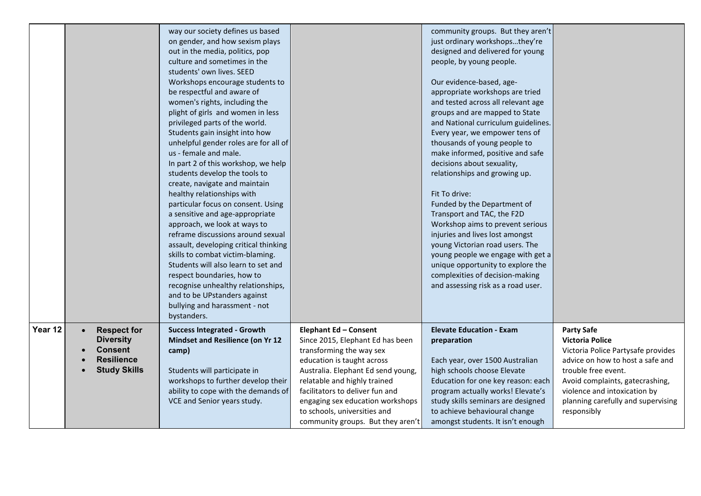|         |                                                                                                                   | way our society defines us based<br>on gender, and how sexism plays<br>out in the media, politics, pop<br>culture and sometimes in the<br>students' own lives. SEED<br>Workshops encourage students to<br>be respectful and aware of<br>women's rights, including the<br>plight of girls and women in less<br>privileged parts of the world.<br>Students gain insight into how<br>unhelpful gender roles are for all of<br>us - female and male.<br>In part 2 of this workshop, we help<br>students develop the tools to<br>create, navigate and maintain<br>healthy relationships with<br>particular focus on consent. Using<br>a sensitive and age-appropriate<br>approach, we look at ways to<br>reframe discussions around sexual<br>assault, developing critical thinking<br>skills to combat victim-blaming.<br>Students will also learn to set and<br>respect boundaries, how to<br>recognise unhealthy relationships,<br>and to be UPstanders against<br>bullying and harassment - not<br>bystanders. |                                                                                                                                                                                                                                                                                                                                       | community groups. But they aren't<br>just ordinary workshopsthey're<br>designed and delivered for young<br>people, by young people.<br>Our evidence-based, age-<br>appropriate workshops are tried<br>and tested across all relevant age<br>groups and are mapped to State<br>and National curriculum guidelines.<br>Every year, we empower tens of<br>thousands of young people to<br>make informed, positive and safe<br>decisions about sexuality,<br>relationships and growing up.<br>Fit To drive:<br>Funded by the Department of<br>Transport and TAC, the F2D<br>Workshop aims to prevent serious<br>injuries and lives lost amongst<br>young Victorian road users. The<br>young people we engage with get a<br>unique opportunity to explore the<br>complexities of decision-making<br>and assessing risk as a road user. |                                                                                                                                                                                                                                                                      |
|---------|-------------------------------------------------------------------------------------------------------------------|---------------------------------------------------------------------------------------------------------------------------------------------------------------------------------------------------------------------------------------------------------------------------------------------------------------------------------------------------------------------------------------------------------------------------------------------------------------------------------------------------------------------------------------------------------------------------------------------------------------------------------------------------------------------------------------------------------------------------------------------------------------------------------------------------------------------------------------------------------------------------------------------------------------------------------------------------------------------------------------------------------------|---------------------------------------------------------------------------------------------------------------------------------------------------------------------------------------------------------------------------------------------------------------------------------------------------------------------------------------|-----------------------------------------------------------------------------------------------------------------------------------------------------------------------------------------------------------------------------------------------------------------------------------------------------------------------------------------------------------------------------------------------------------------------------------------------------------------------------------------------------------------------------------------------------------------------------------------------------------------------------------------------------------------------------------------------------------------------------------------------------------------------------------------------------------------------------------|----------------------------------------------------------------------------------------------------------------------------------------------------------------------------------------------------------------------------------------------------------------------|
| Year 12 | <b>Respect for</b><br>$\bullet$<br><b>Diversity</b><br><b>Consent</b><br><b>Resilience</b><br><b>Study Skills</b> | <b>Success Integrated - Growth</b><br><b>Mindset and Resilience (on Yr 12</b><br>camp)<br>Students will participate in<br>workshops to further develop their<br>ability to cope with the demands of<br>VCE and Senior years study.                                                                                                                                                                                                                                                                                                                                                                                                                                                                                                                                                                                                                                                                                                                                                                            | Elephant Ed - Consent<br>Since 2015, Elephant Ed has been<br>transforming the way sex<br>education is taught across<br>Australia. Elephant Ed send young,<br>relatable and highly trained<br>facilitators to deliver fun and<br>engaging sex education workshops<br>to schools, universities and<br>community groups. But they aren't | <b>Elevate Education - Exam</b><br>preparation<br>Each year, over 1500 Australian<br>high schools choose Elevate<br>Education for one key reason: each<br>program actually works! Elevate's<br>study skills seminars are designed<br>to achieve behavioural change<br>amongst students. It isn't enough                                                                                                                                                                                                                                                                                                                                                                                                                                                                                                                           | <b>Party Safe</b><br><b>Victoria Police</b><br>Victoria Police Partysafe provides<br>advice on how to host a safe and<br>trouble free event.<br>Avoid complaints, gatecrashing,<br>violence and intoxication by<br>planning carefully and supervising<br>responsibly |